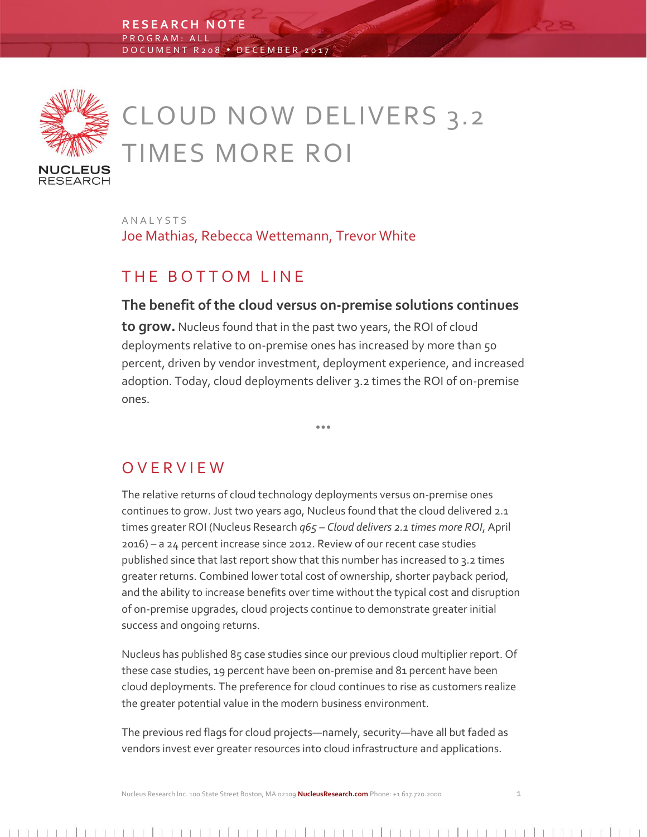

# CLOUD NOW DELIVERS 3.2 TIMES MORE ROI

A N A L Y S T S Joe Mathias, Rebecca Wettemann, Trevor White

## THE BOTTOM LINE

### **The benefit of the cloud versus on-premise solutions continues**

**to grow.** Nucleus found that in the past two years, the ROI of cloud deployments relative to on-premise ones has increased by more than 50 percent, driven by vendor investment, deployment experience, and increased adoption. Today, cloud deployments deliver 3.2 times the ROI of on-premise ones.

 $\bullet$   $\bullet$   $\bullet$ 

O V E R V I E W

The relative returns of cloud technology deployments versus on-premise ones continues to grow. Just two years ago, Nucleus found that the cloud delivered 2.1 times greater ROI (Nucleus Research *q65 – Cloud delivers 2.1 times more ROI*, April 2016) – a 24 percent increase since 2012. Review of our recent case studies published since that last report show that this number has increased to 3.2 times greater returns. Combined lower total cost of ownership, shorter payback period, and the ability to increase benefits over time without the typical cost and disruption of on-premise upgrades, cloud projects continue to demonstrate greater initial success and ongoing returns.

Nucleus has published 85 case studies since our previous cloud multiplier report. Of these case studies, 19 percent have been on-premise and 81 percent have been cloud deployments. The preference for cloud continues to rise as customers realize the greater potential value in the modern business environment.

The previous red flags for cloud projects—namely, security—have all but faded as vendors invest ever greater resources into cloud infrastructure and applications.

Nucleus Research Inc. 100 State Street Boston, MA 02109 **NucleusResearch.com** Phone: +1 617.720.2000 1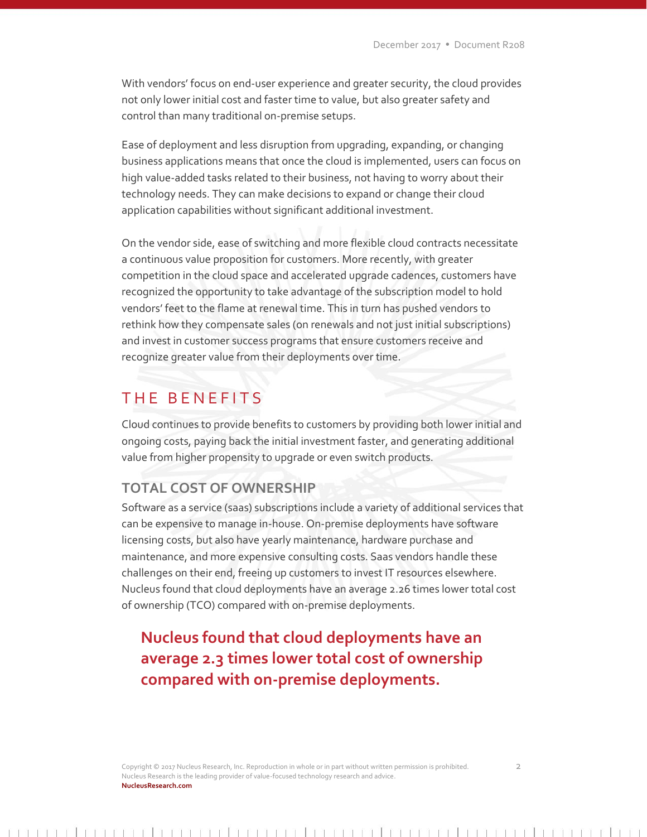With vendors' focus on end-user experience and greater security, the cloud provides not only lower initial cost and faster time to value, but also greater safety and control than many traditional on-premise setups.

Ease of deployment and less disruption from upgrading, expanding, or changing business applications means that once the cloud is implemented, users can focus on high value-added tasks related to their business, not having to worry about their technology needs. They can make decisions to expand or change their cloud application capabilities without significant additional investment.

On the vendor side, ease of switching and more flexible cloud contracts necessitate a continuous value proposition for customers. More recently, with greater competition in the cloud space and accelerated upgrade cadences, customers have recognized the opportunity to take advantage of the subscription model to hold vendors' feet to the flame at renewal time. This in turn has pushed vendors to rethink how they compensate sales (on renewals and not just initial subscriptions) and invest in customer success programs that ensure customers receive and recognize greater value from their deployments over time.

## THE BENEFITS

Cloud continues to provide benefits to customers by providing both lower initial and ongoing costs, paying back the initial investment faster, and generating additional value from higher propensity to upgrade or even switch products.

#### **TOTAL COST OF OWNERSHIP**

Software as a service (saas) subscriptions include a variety of additional services that can be expensive to manage in-house. On-premise deployments have software licensing costs, but also have yearly maintenance, hardware purchase and maintenance, and more expensive consulting costs. Saas vendors handle these challenges on their end, freeing up customers to invest IT resources elsewhere. Nucleus found that cloud deployments have an average 2.26 times lower total cost of ownership (TCO) compared with on-premise deployments.

## **Nucleus found that cloud deployments have an average 2.3 times lower total cost of ownership compared with on-premise deployments.**

Copyright © 2017 Nucleus Research, Inc. Reproduction in whole or in part without written permission is prohibited. 2 Nucleus Research is the leading provider of value-focused technology research and advice. **NucleusResearch.com**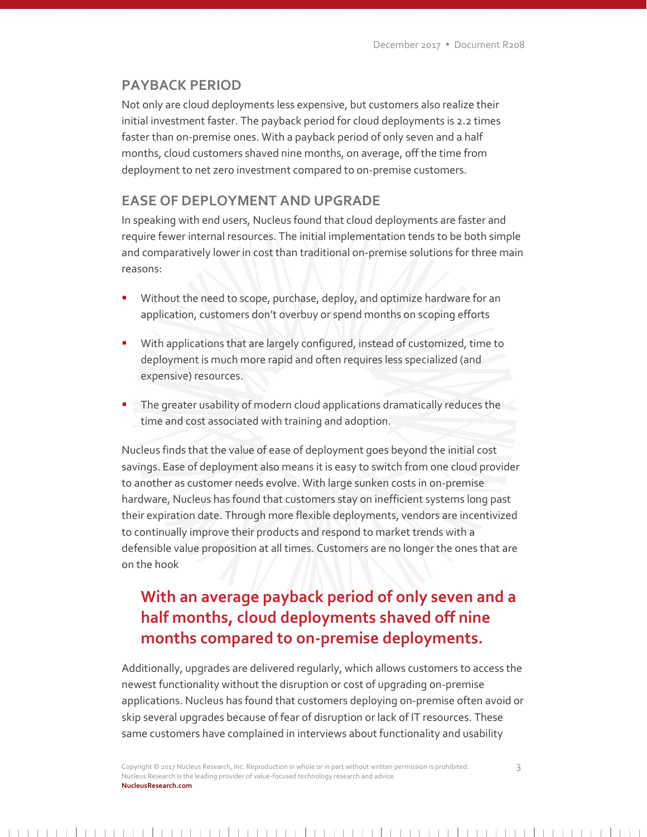#### **PAYBACK PERIOD**

Not only are cloud deployments less expensive, but customers also realize their initial investment faster. The payback period for cloud deployments is 2.2 times faster than on-premise ones. With a payback period of only seven and a half months, cloud customers shaved nine months, on average, off the time from deployment to net zero investment compared to on-premise customers.

#### **EASE OF DEPLOYMENT AND UPGRADE**

In speaking with end users, Nucleus found that cloud deployments are faster and require fewer internal resources. The initial implementation tends to be both simple and comparatively lower in cost than traditional on-premise solutions for three main reasons:

- Without the need to scope, purchase, deploy, and optimize hardware for an application, customers don't overbuy or spend months on scoping efforts
- With applications that are largely configured, instead of customized, time to deployment is much more rapid and often requires less specialized (and expensive) resources.
- **The greater usability of modern cloud applications dramatically reduces the** time and cost associated with training and adoption.

Nucleus finds that the value of ease of deployment goes beyond the initial cost savings. Ease of deployment also means it is easy to switch from one cloud provider to another as customer needs evolve. With large sunken costs in on-premise hardware, Nucleus has found that customers stay on inefficient systems long past their expiration date. Through more flexible deployments, vendors are incentivized to continually improve their products and respond to market trends with a defensible value proposition at all times. Customers are no longer the ones that are on the hook

# **With an average payback period of only seven and a half months, cloud deployments shaved off nine months compared to on-premise deployments.**

Additionally, upgrades are delivered regularly, which allows customers to access the newest functionality without the disruption or cost of upgrading on-premise applications. Nucleus has found that customers deploying on-premise often avoid or skip several upgrades because of fear of disruption or lack of IT resources. These same customers have complained in interviews about functionality and usability

Copyright © 2017 Nucleus Research, Inc. Reproduction in whole or in part without written permission is prohibited. 3 Nucleus Research is the leading provider of value-focused technology research and advice. **NucleusResearch.com**